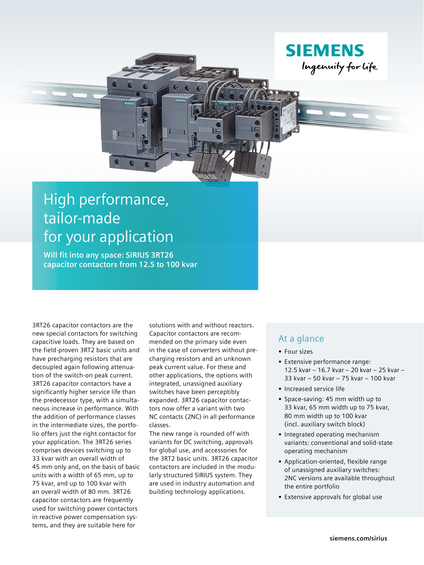

**Will fit into any space: SIRIUS 3RT26 capacitor contactors from 12.5 to 100 kvar**

3RT26 capacitor contactors are the new special contactors for switching capacitive loads. They are based on the field-proven 3RT2 basic units and have precharging resistors that are decoupled again following attenuation of the switch-on peak current. 3RT26 capacitor contactors have a significantly higher service life than the predecessor type, with a simultaneous increase in performance. With the addition of performance classes in the intermediate sizes, the portfolio offers just the right contactor for your application. The 3RT26 series comprises devices switching up to 33 kvar with an overall width of 45 mm only and, on the basis of basic units with a width of 65 mm, up to 75 kvar, and up to 100 kvar with an overall width of 80 mm. 3RT26 capacitor contactors are frequently used for switching power contactors in reactive power compensation systems, and they are suitable here for

solutions with and without reactors. Capacitor contactors are recommended on the primary side even in the case of converters without precharging resistors and an unknown peak current value. For these and other applications, the options with integrated, unassigned auxiliary switches have been perceptibly expanded. 3RT26 capacitor contactors now offer a variant with two NC contacts (2NC) in all performance classes.

The new range is rounded off with variants for DC switching, approvals for global use, and accessories for the 3RT2 basic units. 3RT26 capacitor contactors are included in the modularly structured SIRIUS system. They are used in industry automation and building technology applications.

## At a glance

- **•** Four sizes
- **•** Extensive performance range: 12.5 kvar – 16.7 kvar – 20 kvar – 25 kvar – 33 kvar – 50 kvar – 75 kvar – 100 kvar
- **•** Increased service life

**SIEMENS** 

Ingenuity for life

- **•** Space-saving: 45 mm width up to 33 kvar, 65 mm width up to 75 kvar, 80 mm width up to 100 kvar (incl. auxiliary switch block)
- **•** Integrated operating mechanism variants: conventional and solid-state operating mechanism
- **•** Application-oriented, flexible range of unassigned auxiliary switches: 2NC versions are available throughout the entire portfolio
- **•** Extensive approvals for global use